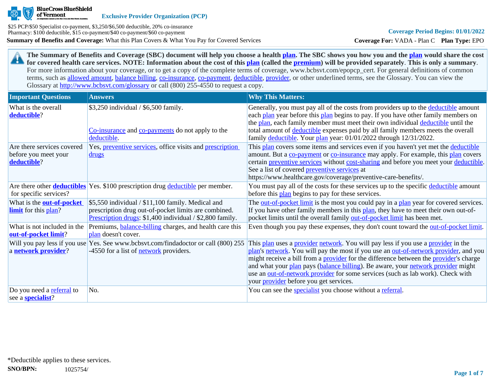

**Exclusive Provider Organization (PCP)**

**Summary of Benefits and Coverage:** What this Plan Covers & What You Pay for Covered Services \$25 PCP/\$50 Specialist co-payment, \$3,250/\$6,500 deductible, 20% co-insurance Pharmacy: \$100 deductible, \$15 co-payment/\$40 co-payment/\$60 co-payment

**Coverage For:** VADA - Plan C **Plan Type:** EPO

**The Summary of Benefits and Coverage (SBC) document will help you choose a health [plan](https://www.healthcare.gov/sbc-glossary/#plan). The SBC shows you how you and the [plan](https://www.healthcare.gov/sbc-glossary/#plan) would share the cost**  29 **for covered health care services. NOTE: Information about the cost of this [plan](https://www.healthcare.gov/sbc-glossary/#plan) (called the [premium](https://www.healthcare.gov/sbc-glossary/#premium)) will be provided separately**. **This is only a summary**. For more information about your coverage, or to get a copy of the complete terms of coverage, www.bcbsvt.com/epopcp\_cert. For general definitions of common terms, such as [allowed amount](https://www.healthcare.gov/sbc-glossary/#allowed-amount), [balance billing,](https://www.healthcare.gov/sbc-glossary/#balance-billing) [co-insurance,](https://www.healthcare.gov/sbc-glossary/#coinsurance) [co-payment,](https://www.healthcare.gov/sbc-glossary/#copayment) [deductible](https://www.healthcare.gov/sbc-glossary/#deductible), [provider,](https://www.healthcare.gov/sbc-glossary/#provider) or other underlined terms, see the Glossary. You can view the Glossary at <http://www.bcbsvt.com/glossary>or call (800) 255-4550 to request a copy.

| <b>Important Questions</b>                                        | <b>Answers</b>                                                                                                                                                        | <b>Why This Matters:</b>                                                                                                                                                                                                                                                                                                                                                                                                                                                                                  |
|-------------------------------------------------------------------|-----------------------------------------------------------------------------------------------------------------------------------------------------------------------|-----------------------------------------------------------------------------------------------------------------------------------------------------------------------------------------------------------------------------------------------------------------------------------------------------------------------------------------------------------------------------------------------------------------------------------------------------------------------------------------------------------|
| What is the overall<br>deductible?                                | \$3,250 individual / \$6,500 family.<br>Co-insurance and co-payments do not apply to the<br>deductible.                                                               | Generally, you must pay all of the costs from providers up to the deductible amount<br>each plan year before this plan begins to pay. If you have other family members on<br>the plan, each family member must meet their own individual deductible until the<br>total amount of deductible expenses paid by all family members meets the overall<br>family deductible. Your plan year: 01/01/2022 through 12/31/2022.                                                                                    |
| Are there services covered<br>before you meet your<br>deductible? | Yes, <i>preventive services</i> , office visits and <i>prescription</i><br><u>drugs</u>                                                                               | This plan covers some items and services even if you haven't yet met the deductible<br>amount. But a co-payment or co-insurance may apply. For example, this plan covers<br>certain preventive services without cost-sharing and before you meet your deductible.<br>See a list of covered preventive services at<br>https://www.healthcare.gov/coverage/preventive-care-benefits/.                                                                                                                       |
| for specific services?                                            | Are there other <b>deductibles</b> Yes. \$100 prescription drug deductible per member.                                                                                | You must pay all of the costs for these services up to the specific deductible amount<br>before this plan begins to pay for these services.                                                                                                                                                                                                                                                                                                                                                               |
| What is the <b>out-of-pocket</b><br><b>limit</b> for this plan?   | \$5,550 individual / \$11,100 family. Medical and<br>prescription drug out-of-pocket limits are combined.<br>Prescription drugs: \$1,400 individual / \$2,800 family. | The out-of-pocket limit is the most you could pay in a plan year for covered services.<br>If you have other family members in this plan, they have to meet their own out-of-<br>pocket limits until the overall family out-of-pocket limit has been met.                                                                                                                                                                                                                                                  |
| What is not included in the<br>out-of-pocket limit?               | Premiums, <b>balance-billing</b> charges, and health care this<br>plan doesn't cover.                                                                                 | Even though you pay these expenses, they don't count toward the <u>out-of-pocket limit</u> .                                                                                                                                                                                                                                                                                                                                                                                                              |
| a network provider?                                               | Will you pay less if you use Yes. See www.bcbsvt.com/findadoctor or call (800) 255<br>-4550 for a list of <b>network</b> providers.                                   | This plan uses a provider network. You will pay less if you use a provider in the<br>plan's network. You will pay the most if you use an out-of-network provider, and you<br>might receive a bill from a <b>provider</b> for the difference between the <b>provider</b> 's charge<br>and what your plan pays (balance billing). Be aware, your network provider might<br>use an out-of-network provider for some services (such as lab work). Check with<br>your <i>provider</i> before you get services. |
| Do you need a referral to<br>see a <b>specialist</b> ?            | No.                                                                                                                                                                   | You can see the specialist you choose without a referral.                                                                                                                                                                                                                                                                                                                                                                                                                                                 |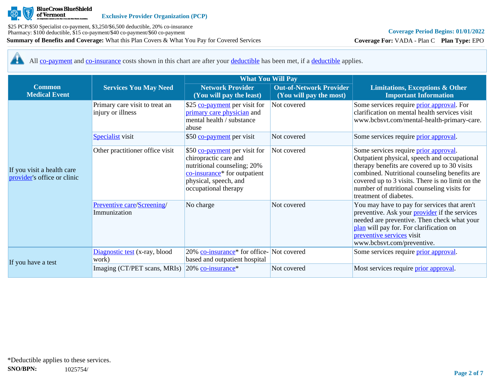

**Coverage For:** VADA - Plan C **Plan Type:** EPO

All [co-payment](https://www.healthcare.gov/sbc-glossary/#copayment) and [co-insurance](https://www.healthcare.gov/sbc-glossary/#coinsurance) costs shown in this chart are after your [deductible](https://www.healthcare.gov/sbc-glossary/#deductible) has been met, if a [deductible](https://www.healthcare.gov/sbc-glossary/#deductible) applies. 44

| <b>Common</b><br><b>Medical Event</b>                     | <b>Services You May Need</b>                        | <b>Network Provider</b><br>(You will pay the least)                                                                                                                    | <b>Out-of-Network Provider</b><br>(You will pay the most) | <b>Limitations, Exceptions &amp; Other</b><br><b>Important Information</b>                                                                                                                                                                                                                                          |  |
|-----------------------------------------------------------|-----------------------------------------------------|------------------------------------------------------------------------------------------------------------------------------------------------------------------------|-----------------------------------------------------------|---------------------------------------------------------------------------------------------------------------------------------------------------------------------------------------------------------------------------------------------------------------------------------------------------------------------|--|
|                                                           | Primary care visit to treat an<br>injury or illness | \$25 co-payment per visit for<br>primary care physician and<br>mental health / substance<br>abuse                                                                      | Not covered                                               | Some services require <i>prior approval</i> . For<br>clarification on mental health services visit<br>www.bcbsvt.com/mental-health-primary-care.                                                                                                                                                                    |  |
|                                                           | Specialist visit                                    | \$50 co-payment per visit                                                                                                                                              | Not covered                                               | Some services require prior approval.                                                                                                                                                                                                                                                                               |  |
| If you visit a health care<br>provider's office or clinic | Other practitioner office visit                     | \$50 co-payment per visit for<br>chiropractic care and<br>nutritional counseling; 20%<br>co-insurance* for outpatient<br>physical, speech, and<br>occupational therapy | Not covered                                               | Some services require prior approval.<br>Outpatient physical, speech and occupational<br>therapy benefits are covered up to 30 visits<br>combined. Nutritional counseling benefits are<br>covered up to 3 visits. There is no limit on the<br>number of nutritional counseling visits for<br>treatment of diabetes. |  |
|                                                           | Preventive care/Screening/<br>Immunization          | No charge                                                                                                                                                              | Not covered                                               | You may have to pay for services that aren't<br>preventive. Ask your <b>provider</b> if the services<br>needed are preventive. Then check what your<br>plan will pay for. For clarification on<br>preventive services visit<br>www.bcbsvt.com/preventive.                                                           |  |
|                                                           | Diagnostic test (x-ray, blood<br>work)              | 20% co-insurance <sup>*</sup> for office-Not covered<br>based and outpatient hospital                                                                                  |                                                           | Some services require prior approval.                                                                                                                                                                                                                                                                               |  |
| If you have a test                                        | Imaging (CT/PET scans, MRIs)                        | 20% co-insurance*                                                                                                                                                      | Not covered                                               | Most services require <i>prior approval</i> .                                                                                                                                                                                                                                                                       |  |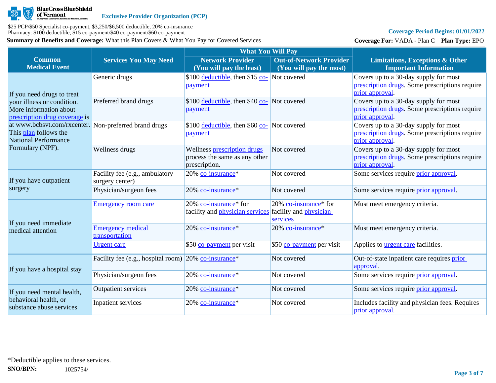

# **Coverage Period Begins: 01/01/2022**

**Coverage For:** VADA - Plan C **Plan Type:** EPO

|                                                                                                               |                                                                  | <b>What You Will Pay</b>                                                                      |                                                           |                                                                                                            |
|---------------------------------------------------------------------------------------------------------------|------------------------------------------------------------------|-----------------------------------------------------------------------------------------------|-----------------------------------------------------------|------------------------------------------------------------------------------------------------------------|
| <b>Common</b><br><b>Medical Event</b>                                                                         | <b>Services You May Need</b>                                     | <b>Network Provider</b><br>(You will pay the least)                                           | <b>Out-of-Network Provider</b><br>(You will pay the most) | <b>Limitations, Exceptions &amp; Other</b><br><b>Important Information</b>                                 |
| If you need drugs to treat                                                                                    | Generic drugs                                                    | \$100 deductible, then \$15 co- Not covered<br>payment                                        |                                                           | Covers up to a 30-day supply for most<br>prescription drugs. Some prescriptions require<br>prior approval. |
| your illness or condition.<br>More information about<br>prescription drug coverage is                         | Preferred brand drugs                                            | \$100 <u>deductible</u> , then \$40 co- Not covered<br>payment                                |                                                           | Covers up to a 30-day supply for most<br>prescription drugs. Some prescriptions require<br>prior approval  |
| at www.bcbsvt.com/rxcenter. Non-preferred brand drugs<br>This plan follows the<br><b>National Performance</b> |                                                                  | \$100 deductible, then \$60 $\frac{\text{co}}{\text{Co}}$ Not covered<br>payment              |                                                           | Covers up to a 30-day supply for most<br>prescription drugs. Some prescriptions require<br>prior approval. |
| Formulary (NPF).                                                                                              | Wellness drugs                                                   | Wellness prescription drugs<br>process the same as any other<br>prescription.                 | Not covered                                               | Covers up to a 30-day supply for most<br>prescription drugs. Some prescriptions require<br>prior approval. |
| If you have outpatient<br>surgery                                                                             | Facility fee (e.g., ambulatory<br>surgery center)                | 20% co-insurance*                                                                             | Not covered                                               | Some services require <i>prior</i> approval.                                                               |
|                                                                                                               | Physician/surgeon fees                                           | 20% co-insurance*                                                                             | Not covered                                               | Some services require <i>prior</i> approval.                                                               |
| If you need immediate                                                                                         | <b>Emergency room care</b>                                       | 20% co-insurance* for<br>facility and <i>physician services</i> facility and <i>physician</i> | 20% co-insurance <sup>*</sup> for<br>services             | Must meet emergency criteria.                                                                              |
| medical attention                                                                                             | <b>Emergency medical</b><br>transportation                       | 20% co-insurance*                                                                             | 20% co-insurance*                                         | Must meet emergency criteria.                                                                              |
|                                                                                                               | <b>Urgent</b> care                                               | \$50 co-payment per visit                                                                     | \$50 co-payment per visit                                 | Applies to <b>urgent care</b> facilities.                                                                  |
| If you have a hospital stay                                                                                   | Facility fee (e.g., hospital room) 20% co-insurance <sup>*</sup> |                                                                                               | Not covered                                               | Out-of-state inpatient care requires prior<br>approval.                                                    |
|                                                                                                               | Physician/surgeon fees                                           | 20% co-insurance*                                                                             | Not covered                                               | Some services require prior approval.                                                                      |
| If you need mental health,                                                                                    | <b>Outpatient services</b>                                       | 20% co-insurance*                                                                             | Not covered                                               | Some services require <i>prior approval</i> .                                                              |
| behavioral health, or<br>substance abuse services                                                             | Inpatient services                                               | 20% co-insurance*                                                                             | Not covered                                               | Includes facility and physician fees. Requires<br>prior approval.                                          |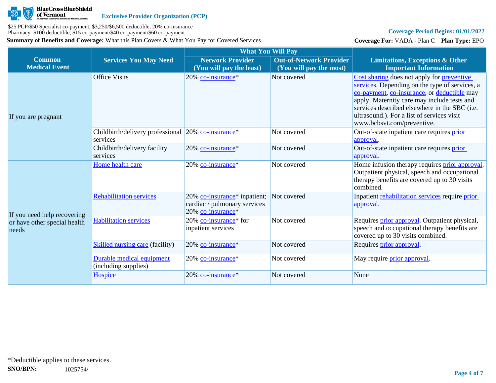

# **Coverage Period Begins: 01/01/2022**

**Coverage For:** VADA - Plan C **Plan Type:** EPO

|                                                                      |                                                                |                                                                                               | <b>What You Will Pay</b>                                  |                                                                                                                                                                                                                                                                                                                         |  |  |  |
|----------------------------------------------------------------------|----------------------------------------------------------------|-----------------------------------------------------------------------------------------------|-----------------------------------------------------------|-------------------------------------------------------------------------------------------------------------------------------------------------------------------------------------------------------------------------------------------------------------------------------------------------------------------------|--|--|--|
| <b>Common</b><br><b>Medical Event</b>                                | <b>Services You May Need</b>                                   | <b>Network Provider</b><br>(You will pay the least)                                           | <b>Out-of-Network Provider</b><br>(You will pay the most) | <b>Limitations, Exceptions &amp; Other</b><br><b>Important Information</b>                                                                                                                                                                                                                                              |  |  |  |
| If you are pregnant                                                  | <b>Office Visits</b>                                           | 20% co-insurance*                                                                             | Not covered                                               | Cost sharing does not apply for preventive<br>services. Depending on the type of services, a<br>co-payment, co-insurance, or deductible may<br>apply. Maternity care may include tests and<br>services described elsewhere in the SBC (i.e.<br>ultrasound.). For a list of services visit<br>www.bcbsvt.com/preventive. |  |  |  |
|                                                                      | Childbirth/delivery professional 20% co-insurance*<br>services |                                                                                               | Not covered                                               | Out-of-state inpatient care requires prior<br>approval.                                                                                                                                                                                                                                                                 |  |  |  |
|                                                                      | Childbirth/delivery facility<br>services                       | $20\%$ co-insurance <sup>*</sup>                                                              | Not covered                                               | Out-of-state inpatient care requires prior<br>approval.                                                                                                                                                                                                                                                                 |  |  |  |
| If you need help recovering<br>or have other special health<br>needs | Home health care                                               | 20% co-insurance*                                                                             | Not covered                                               | Home infusion therapy requires <b>prior approval</b> .<br>Outpatient physical, speech and occupational<br>therapy benefits are covered up to 30 visits<br>combined.                                                                                                                                                     |  |  |  |
|                                                                      | <b>Rehabilitation services</b>                                 | 20% co-insurance <sup>*</sup> inpatient;<br>cardiac / pulmonary services<br>20% co-insurance* | Not covered                                               | Inpatient rehabilitation services require prior<br>approval.                                                                                                                                                                                                                                                            |  |  |  |
|                                                                      | <b>Habilitation services</b>                                   | 20% co-insurance* for<br>inpatient services                                                   | Not covered                                               | Requires <i>prior approval</i> . Outpatient physical,<br>speech and occupational therapy benefits are<br>covered up to 30 visits combined.                                                                                                                                                                              |  |  |  |
|                                                                      | <b>Skilled nursing care (facility)</b>                         | 20% co-insurance*                                                                             | Not covered                                               | Requires prior approval.                                                                                                                                                                                                                                                                                                |  |  |  |
|                                                                      | Durable medical equipment<br>(including supplies)              | $20\%$ co-insurance <sup>*</sup>                                                              | Not covered                                               | May require <i>prior</i> approval.                                                                                                                                                                                                                                                                                      |  |  |  |
|                                                                      | Hospice                                                        | 20% co-insurance*                                                                             | Not covered                                               | None                                                                                                                                                                                                                                                                                                                    |  |  |  |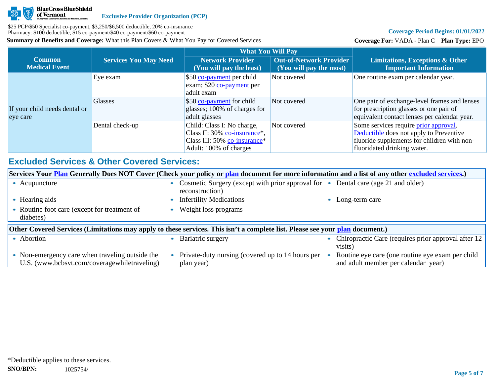

# **Coverage Period Begins: 01/01/2022**

**Coverage For:** VADA - Plan C **Plan Type:** EPO

|                                           |                              | <b>What You Will Pay</b>                                                                                                          |                                                           |                                                                                                                                                                |
|-------------------------------------------|------------------------------|-----------------------------------------------------------------------------------------------------------------------------------|-----------------------------------------------------------|----------------------------------------------------------------------------------------------------------------------------------------------------------------|
| <b>Common</b><br><b>Medical Event</b>     | <b>Services You May Need</b> | <b>Network Provider</b><br>(You will pay the least)                                                                               | <b>Out-of-Network Provider</b><br>(You will pay the most) | <b>Limitations, Exceptions &amp; Other</b><br><b>Important Information</b>                                                                                     |
| If your child needs dental or<br>eye care | Eye exam                     | \$50 co-payment per child<br>exam; \$20 co-payment per<br>adult exam                                                              | Not covered                                               | One routine exam per calendar year.                                                                                                                            |
|                                           | <b>Glasses</b>               | \$50 co-payment for child<br>glasses; 100% of charges for<br>adult glasses                                                        | Not covered                                               | One pair of exchange-level frames and lenses<br>for prescription glasses or one pair of<br>equivalent contact lenses per calendar year.                        |
|                                           | Dental check-up              | Child: Class I: No charge,<br>Class II: 30% co-insurance <sup>*</sup> ,<br>Class III: 50% co-insurance*<br>Adult: 100% of charges | Not covered                                               | Some services require prior approval.<br>Deductible does not apply to Preventive<br>fluoride supplements for children with non-<br>fluoridated drinking water. |

# **Excluded Services & Other Covered Services:**

| Services Your <b>Plan</b> Generally Does NOT Cover (Check your policy or plan document for more information and a list of any other excluded services.) |                                                                                                                   |                                                                |  |  |  |  |  |  |
|---------------------------------------------------------------------------------------------------------------------------------------------------------|-------------------------------------------------------------------------------------------------------------------|----------------------------------------------------------------|--|--|--|--|--|--|
| • Acupuncture                                                                                                                                           | Cosmetic Surgery (except with prior approval for • Dental care (age 21 and older)<br>$\bullet$<br>reconstruction) |                                                                |  |  |  |  |  |  |
| Hearing aids                                                                                                                                            | <b>Infertility Medications</b>                                                                                    | Long-term care                                                 |  |  |  |  |  |  |
| Routine foot care (except for treatment of<br>diabetes)                                                                                                 | Weight loss programs                                                                                              |                                                                |  |  |  |  |  |  |
| Other Covered Services (Limitations may apply to these services. This isn't a complete list. Please see your plan document.)                            |                                                                                                                   |                                                                |  |  |  |  |  |  |
| • Abortion                                                                                                                                              |                                                                                                                   |                                                                |  |  |  |  |  |  |
|                                                                                                                                                         | Bariatric surgery                                                                                                 | Chiropractic Care (requires prior approval after 12<br>visits) |  |  |  |  |  |  |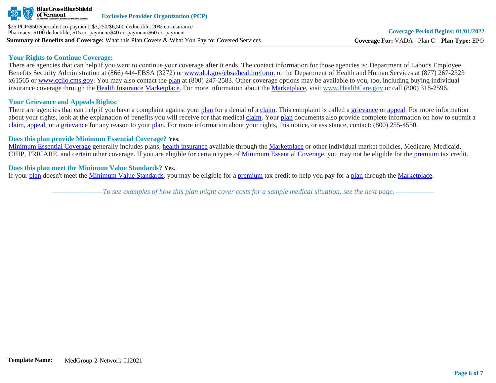

#### **Your Rights to Continue Coverage:**

There are agencies that can help if you want to continue your coverage after it ends. The contact information for those agencies is: Department of Labor's Employee Benefits Security Administration at (866) 444-EBSA (3272) or [www.dol.gov/ebsa/healthreform](http://www.dol.gov/ebsa/healthreform), or the Department of Health and Human Services at (877) 267-2323 x61565 or [www.cciio.cms.gov](http://www.cciio.cms.gov/). You may also contact the [plan](https://www.healthcare.gov/sbc-glossary/#plan) at (800) 247-2583. Other coverage options may be available to you, too, including buying individual insurance coverage through the [Health Insurance](https://www.healthcare.gov/sbc-glossary/#health-insurance) [Marketplace.](https://www.healthcare.gov/sbc-glossary/#marketplace) For more information about the [Marketplace,](https://www.healthcare.gov/sbc-glossary/#marketplace) visit [www.HealthCare.gov](http://www.healthcare.gov/) or call (800) 318-2596.

# **Your Grievance and Appeals Rights:**

There are agencies that can help if you have a complaint against your [plan](https://www.healthcare.gov/sbc-glossary/#plan) for a denial of a [claim.](https://www.healthcare.gov/sbc-glossary/#claim) This complaint is called a [grievance](https://www.healthcare.gov/sbc-glossary/#grievance) or [appeal](https://www.healthcare.gov/sbc-glossary/#appeal). For more information about your rights, look at the explanation of benefits you will receive for that medical [claim](https://www.healthcare.gov/sbc-glossary/#claim). Your [plan](https://www.healthcare.gov/sbc-glossary/#plan) documents also provide complete information on how to submit a [claim](https://www.healthcare.gov/sbc-glossary/#claim), [appeal](https://www.healthcare.gov/sbc-glossary/#appeal), or a [grievance](https://www.healthcare.gov/sbc-glossary/#grievance) for any reason to your [plan.](https://www.healthcare.gov/sbc-glossary/#plan) For more information about your rights, this notice, or assistance, contact: (800) 255-4550.

#### **Does this plan provide Minimum Essential Coverage? Yes.**

[Minimum Essential Coverage](https://www.healthcare.gov/sbc-glossary/#minimum-essential-coverage) generally includes plans, [health insurance](https://www.healthcare.gov/sbc-glossary/#health-insurance) available through the [Marketplace](https://www.healthcare.gov/sbc-glossary/#marketplace) or other individual market policies, Medicare, Medicaid, CHIP, TRICARE, and certain other coverage. If you are eligible for certain types of [Minimum Essential Coverage](https://www.healthcare.gov/sbc-glossary/#minimum-essential-coverage), you may not be eligible for the [premium](https://www.healthcare.gov/sbc-glossary/#premium) tax credit.

#### **Does this plan meet the Minimum Value Standards? Yes.**

If your [plan](https://www.healthcare.gov/sbc-glossary/#plan) doesn't meet the [Minimum Value Standards](https://www.healthcare.gov/sbc-glossary/#minimum-value-standard), you may be eligible for a [premium](https://www.healthcare.gov/sbc-glossary/#premium) tax credit to help you pay for a [plan](https://www.healthcare.gov/sbc-glossary/#plan) through the [Marketplace](https://www.healthcare.gov/sbc-glossary/#marketplace).

*––––––––––––––To see examples of how this plan might cover costs for a sample medical situation, see the next page.–––––––––––*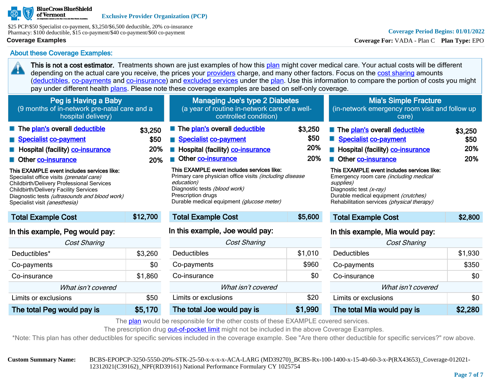

\$25 PCP/\$50 Specialist co-payment, \$3,250/\$6,500 deductible, 20% co-insurance Pharmacy: \$100 deductible, \$15 co-payment/\$40 co-payment/\$60 co-payment

### **Coverage Examples**

45

# **Coverage Period Begins: 01/01/2022**

**Coverage For:** VADA - Plan C **Plan Type:** EPO

Co-insurance \$0 What isn't covered Limits or exclusions  $\sim$  \$0 The total Mia would pay is \$2,280

About these Coverage Examples:

This is not a cost estimator. Treatments shown are just examples of how this [plan](https://www.healthcare.gov/sbc-glossary/#plan) might cover medical care. Your actual costs will be different depending on the actual care you receive, the prices your [providers](https://www.healthcare.gov/sbc-glossary/#provider) charge, and many other factors. Focus on the [cost sharing](https://www.healthcare.gov/sbc-glossary/#cost-sharing) amounts ([deductibles,](https://www.healthcare.gov/sbc-glossary/#deductible) [co-payments](https://www.healthcare.gov/sbc-glossary/#co-payment) and [co-insurance\)](https://www.healthcare.gov/sbc-glossary/#co-insurance) and [excluded services](https://www.healthcare.gov/sbc-glossary/#excluded-services) under the [plan](https://www.healthcare.gov/sbc-glossary/#plan). Use this information to compare the portion of costs you might pay under different health [plans.](https://www.healthcare.gov/sbc-glossary/#plan) Please note these coverage examples are based on self-only coverage.

| Peg is Having a Baby<br>(9 months of in-network pre-natal care and a<br>hospital delivery)                                                                                                                                                                                                                                                                                                       |                               | <b>Managing Joe's type 2 Diabetes</b><br>(a year of routine in-network care of a well-<br>controlled condition)                                                                                                                                                                                                                                               |                               | <b>Mia's Simple Fracture</b><br>(in-network emergency room visit and follow up<br>care)                                                                                                                                                                                                                                                |                               |  |
|--------------------------------------------------------------------------------------------------------------------------------------------------------------------------------------------------------------------------------------------------------------------------------------------------------------------------------------------------------------------------------------------------|-------------------------------|---------------------------------------------------------------------------------------------------------------------------------------------------------------------------------------------------------------------------------------------------------------------------------------------------------------------------------------------------------------|-------------------------------|----------------------------------------------------------------------------------------------------------------------------------------------------------------------------------------------------------------------------------------------------------------------------------------------------------------------------------------|-------------------------------|--|
| The plan's overall deductible<br>Specialist co-payment<br>Hospital (facility) co-insurance<br>Other co-insurance<br>This EXAMPLE event includes services like:<br>Specialist office visits (prenatal care)<br><b>Childbirth/Delivery Professional Services</b><br><b>Childbirth/Delivery Facility Services</b><br>Diagnostic tests (ultrasounds and blood work)<br>Specialist visit (anesthesia) | \$3,250<br>\$50<br>20%<br>20% | The plan's overall deductible<br>Specialist co-payment<br>Hospital (facility) co-insurance<br>Other co-insurance<br>$\blacksquare$<br>This EXAMPLE event includes services like:<br>Primary care physician office visits (including disease<br>education)<br>Diagnostic tests (blood work)<br>Prescription drugs<br>Durable medical equipment (glucose meter) | \$3,250<br>\$50<br>20%<br>20% | The plan's overall deductible<br>Specialist co-payment<br>Hospital (facility) co-insurance<br>Other co-insurance<br>This EXAMPLE event includes services like:<br>Emergency room care (including medical<br>supplies)<br>Diagnostic test (x-ray)<br>Durable medical equipment (crutches)<br>Rehabilitation services (physical therapy) | \$3,250<br>\$50<br>20%<br>20% |  |
| <b>Total Example Cost</b>                                                                                                                                                                                                                                                                                                                                                                        | \$12,700                      | <b>Total Example Cost</b>                                                                                                                                                                                                                                                                                                                                     | \$5,600                       | <b>Total Example Cost</b>                                                                                                                                                                                                                                                                                                              | \$2,800                       |  |
| In this example, Peg would pay:                                                                                                                                                                                                                                                                                                                                                                  |                               | In this example, Joe would pay:                                                                                                                                                                                                                                                                                                                               |                               | In this example, Mia would pay:                                                                                                                                                                                                                                                                                                        |                               |  |
| Cost Sharing                                                                                                                                                                                                                                                                                                                                                                                     |                               | Cost Sharing                                                                                                                                                                                                                                                                                                                                                  |                               | <b>Cost Sharing</b>                                                                                                                                                                                                                                                                                                                    |                               |  |
| Deductibles*                                                                                                                                                                                                                                                                                                                                                                                     | \$3,260                       | <b>Deductibles</b>                                                                                                                                                                                                                                                                                                                                            | \$1,010                       | <b>Deductibles</b>                                                                                                                                                                                                                                                                                                                     | \$1,930                       |  |
| Co-payments                                                                                                                                                                                                                                                                                                                                                                                      | \$0                           | Co-payments                                                                                                                                                                                                                                                                                                                                                   | \$960                         | Co-payments                                                                                                                                                                                                                                                                                                                            | \$350                         |  |

| The plan would be responsible for the other costs of these EXAMPLE covered services. |  |  |  |  |  |  |
|--------------------------------------------------------------------------------------|--|--|--|--|--|--|

The prescription drug [out-of-pocket limit](https://www.healthcare.gov/sbc-glossary/#out-of-pocket-limit) might not be included in the above Coverage Examples.

Co-insurance \$0 What isn't covered Limits or exclusions  $$20$ The total Joe would pay is \$1,990

\*Note: This plan has other deductibles for specific services included in the coverage example. See "Are there other deductible for specific services?" row above.

Co-insurance \$1,860 What isn't covered Limits or exclusions the study of the study study study study study study study study study study study study study study study study study study study study study study study study study study study study study study stud The total Peg would pay is  $$5,170$ 

**Custom Summary Name:** BCBS-EPOPCP-3250-5550-20%-STK-25-50-x-x-x-x-ACA-LARG (MD39270)\_BCBS-Rx-100-1400-x-15-40-60-3-x-P(RX43653)\_Coverage-012021- 12312021(C39162)\_NPF(RD39161) National Performance Formulary CY 1025754